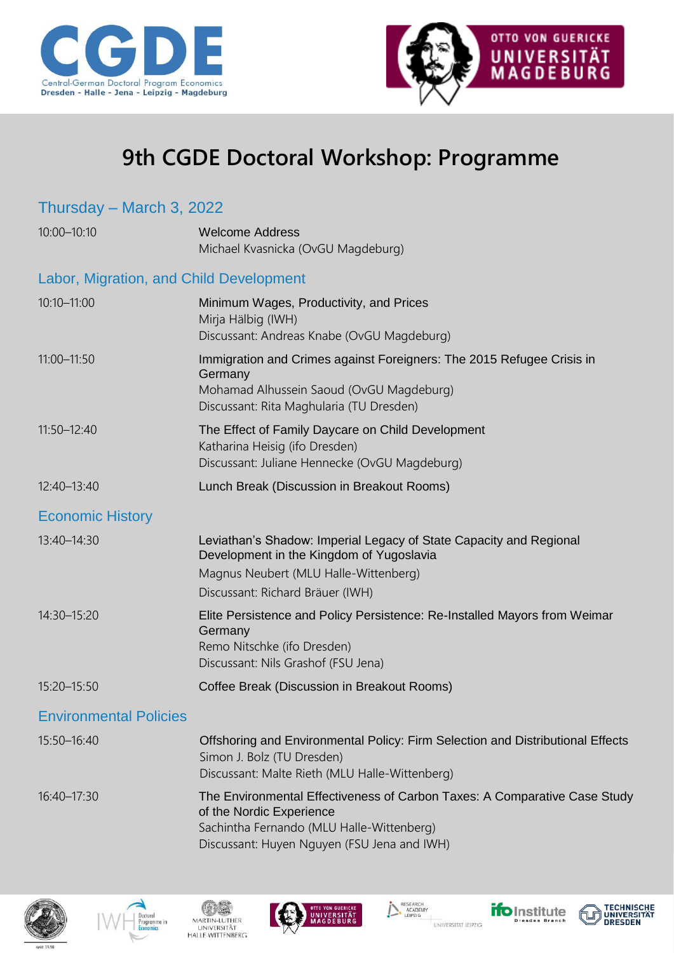



## **9th CGDE Doctoral Workshop: Programme**

## Thursday – March 3, 2022 10:00–10:10 Welcome Address Michael Kvasnicka (OvGU Magdeburg) Labor, Migration, and Child Development 10:10–11:00 Minimum Wages, Productivity, and Prices Mirja Hälbig (IWH) Discussant: Andreas Knabe (OvGU Magdeburg) 11:00–11:50 Immigration and Crimes against Foreigners: The 2015 Refugee Crisis in Germany Mohamad Alhussein Saoud (OvGU Magdeburg) Discussant: Rita Maghularia (TU Dresden) 11:50–12:40 The Effect of Family Daycare on Child Development Katharina Heisig (ifo Dresden) Discussant: Juliane Hennecke (OvGU Magdeburg) 12:40–13:40 Lunch Break (Discussion in Breakout Rooms) Economic History 13:40–14:30 Leviathan's Shadow: Imperial Legacy of State Capacity and Regional Development in the Kingdom of Yugoslavia Magnus Neubert (MLU Halle-Wittenberg) Discussant: Richard Bräuer (IWH) 14:30–15:20 Elite Persistence and Policy Persistence: Re-Installed Mayors from Weimar **Germany** Remo Nitschke (ifo Dresden) Discussant: Nils Grashof (FSU Jena) 15:20–15:50 Coffee Break (Discussion in Breakout Rooms) Environmental Policies 15:50–16:40 Offshoring and Environmental Policy: Firm Selection and Distributional Effects Simon J. Bolz (TU Dresden) Discussant: Malte Rieth (MLU Halle-Wittenberg) 16:40–17:30 The Environmental Effectiveness of Carbon Taxes: A Comparative Case Study of the Nordic Experience Sachintha Fernando (MLU Halle-Wittenberg) Discussant: Huyen Nguyen (FSU Jena and IWH)